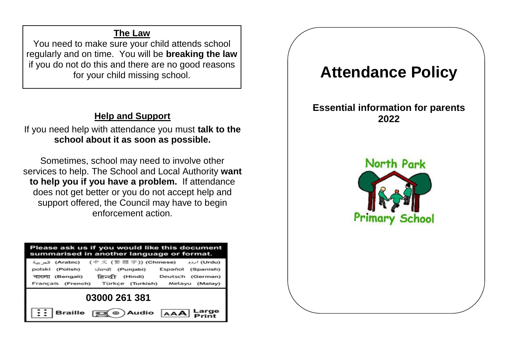## **The Law**

You need to make sure your child attends school regularly and on time. You will be **breaking the law**  if you do not do this and there are no good reasons for your child missing school.

## **Help and Support**

If you need help with attendance you must **talk to the school about it as soon as possible.**

Sometimes, school may need to involve other services to help. The School and Local Authority **want to help you if you have a problem.** If attendance does not get better or you do not accept help and support offered, the Council may have to begin enforcement action.

| Please ask us if you would like this document<br>summarised in another language or format.                                   |
|------------------------------------------------------------------------------------------------------------------------------|
| (Urdu) اردو (中文 (繁體字)) (Chinese) العربية                                                                                     |
| polski (Polish) ਪੰਜਾਬੀ (Punjabi)<br>Español (Spanish)                                                                        |
| (Hindi) Deutsch (German)<br>বাংলা (Bengali) हिन्दी                                                                           |
| Français (French) Türkçe (Turkish) Melayu (Malay)                                                                            |
| 03000 261 381                                                                                                                |
| $\left  \frac{1}{2} \right $ Braille $\left  \frac{1}{\text{max}} \right $ Audio $\left  \overrightarrow{AAA} \right $ Print |

# **Attendance Policy**

#### **Essential information for parents 2022**